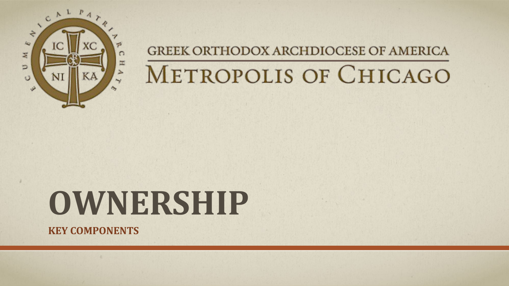

#### GREEK ORTHODOX ARCHDIOCESE OF AMERICA

# METROPOLIS OF CHICAGO

# **OWNERSHIP**

**KEY COMPONENTS**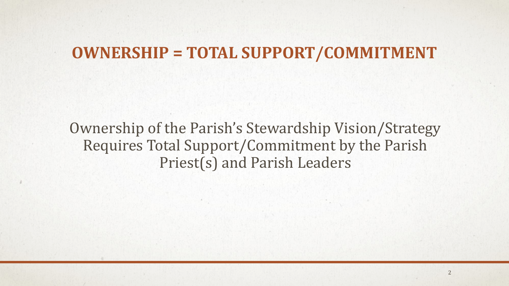#### **OWNERSHIP = TOTAL SUPPORT/COMMITMENT**

Ownership of the Parish's Stewardship Vision/Strategy Requires Total Support/Commitment by the Parish Priest(s) and Parish Leaders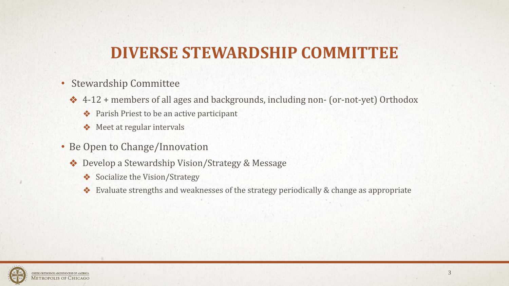# **DIVERSE STEWARDSHIP COMMITTEE**

- Stewardship Committee
	- ❖ 4-12 + members of all ages and backgrounds, including non- (or-not-yet) Orthodox
		- ❖ Parish Priest to be an active participant
		- ❖ Meet at regular intervals
- Be Open to Change/Innovation
	- ❖ Develop a Stewardship Vision/Strategy & Message
		- ❖ Socialize the Vision/Strategy
		- ❖ Evaluate strengths and weaknesses of the strategy periodically & change as appropriate

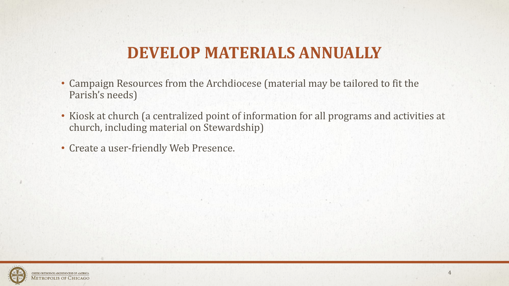# **DEVELOP MATERIALS ANNUALLY**

- Campaign Resources from the Archdiocese (material may be tailored to fit the Parish's needs)
- Kiosk at church (a centralized point of information for all programs and activities at church, including material on Stewardship)
- Create a user-friendly Web Presence.

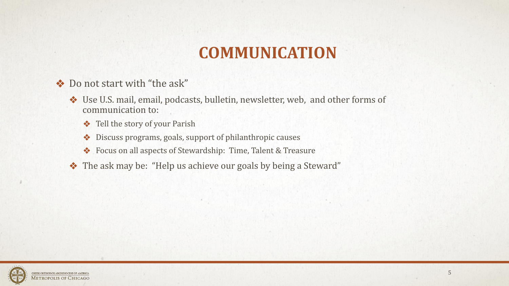# **COMMUNICATION**

- ❖ Do not start with "the ask"
	- ❖ Use U.S. mail, email, podcasts, bulletin, newsletter, web, and other forms of communication to:
		- ❖ Tell the story of your Parish
		- ❖ Discuss programs, goals, support of philanthropic causes
		- ❖ Focus on all aspects of Stewardship: Time, Talent & Treasure
	- ❖ The ask may be: "Help us achieve our goals by being a Steward"

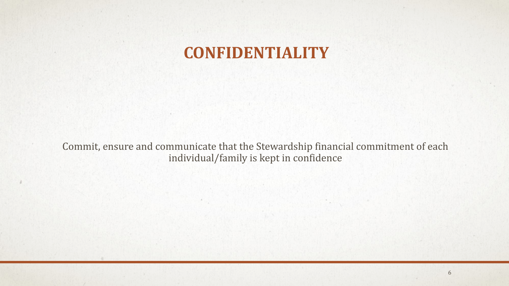# **CONFIDENTIALITY**

Commit, ensure and communicate that the Stewardship financial commitment of each individual/family is kept in confidence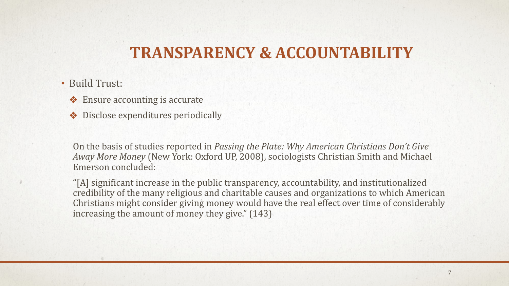### **TRANSPARENCY & ACCOUNTABILITY**

- Build Trust:
	- ❖ Ensure accounting is accurate
	- ❖ Disclose expenditures periodically

On the basis of studies reported in *Passing the Plate: Why American Christians Don't Give Away More Money* (New York: Oxford UP, 2008), sociologists Christian Smith and Michael Emerson concluded:

"[A] significant increase in the public transparency, accountability, and institutionalized credibility of the many religious and charitable causes and organizations to which American Christians might consider giving money would have the real effect over time of considerably increasing the amount of money they give." (143)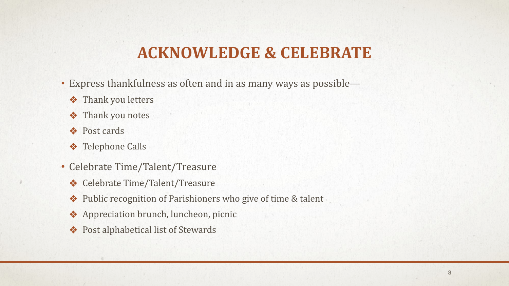# **ACKNOWLEDGE & CELEBRATE**

- Express thankfulness as often and in as many ways as possible—
	- ❖ Thank you letters
	- ❖ Thank you notes
	- ❖ Post cards
	- ❖ Telephone Calls
- Celebrate Time/Talent/Treasure
	- ❖ Celebrate Time/Talent/Treasure
	- ❖ Public recognition of Parishioners who give of time & talent
	- ❖ Appreciation brunch, luncheon, picnic
	- ❖ Post alphabetical list of Stewards